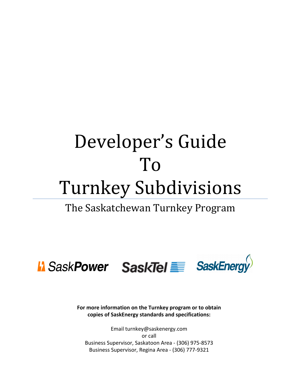# Developer's Guide To Turnkey Subdivisions

## The Saskatchewan Turnkey Program



**For more information on the Turnkey program or to obtain copies of SaskEnergy standards and specifications:** 

Email turnkey@saskenergy.com or call Business Supervisor, Saskatoon Area - (306) 975-8573 Business Supervisor, Regina Area - (306) 777-9321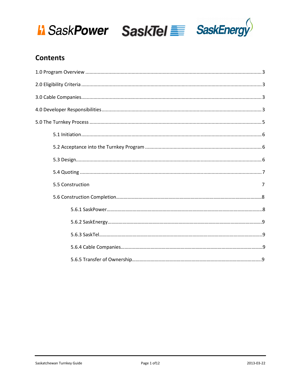





## **Contents**

| 5.5 Construction<br>7 |
|-----------------------|
|                       |
|                       |
|                       |
|                       |
|                       |
|                       |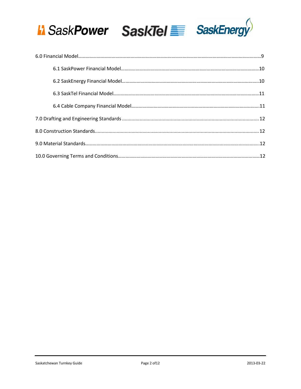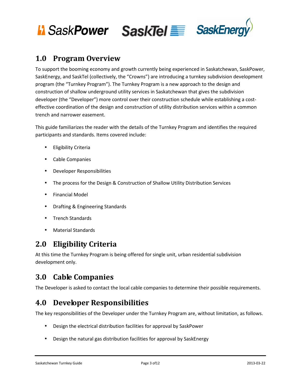



## **1.0 Program Overview**

To support the booming economy and growth currently being experienced in Saskatchewan, SaskPower, SaskEnergy, and SaskTel (collectively, the "Crowns") are introducing a turnkey subdivision development program (the "Turnkey Program"). The Turnkey Program is a new approach to the design and construction of shallow underground utility services in Saskatchewan that gives the subdivision developer (the "Developer") more control over their construction schedule while establishing a costeffective coordination of the design and construction of utility distribution services within a common trench and narrower easement.

This guide familiarizes the reader with the details of the Turnkey Program and identifies the required participants and standards. Items covered include:

- Eligibility Criteria
- Cable Companies
- Developer Responsibilities
- The process for the Design & Construction of Shallow Utility Distribution Services
- Financial Model
- Drafting & Engineering Standards
- Trench Standards
- Material Standards

## **2.0 Eligibility Criteria**

At this time the Turnkey Program is being offered for single unit, urban residential subdivision development only.

## **3.0 Cable Companies**

The Developer is asked to contact the local cable companies to determine their possible requirements.

## **4.0 Developer Responsibilities**

The key responsibilities of the Developer under the Turnkey Program are, without limitation, as follows.

- Design the electrical distribution facilities for approval by SaskPower
- Design the natural gas distribution facilities for approval by SaskEnergy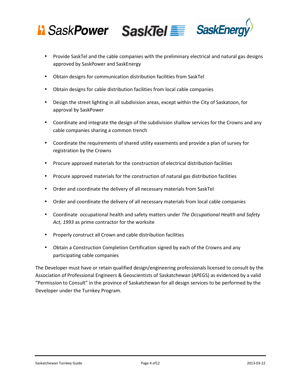

- Provide SaskTel and the cable companies with the preliminary electrical and natural gas designs approved by SaskPower and SaskEnergy
- Obtain designs for communication distribution facilities from SaskTel
- Obtain designs for cable distribution facilities from local cable companies
- Design the street lighting in all subdivision areas, except within the City of Saskatoon, for approval by SaskPower
- Coordinate and integrate the design of the subdivision shallow services for the Crowns and any cable companies sharing a common trench
- Coordinate the requirements of shared utility easements and provide a plan of survey for registration by the Crowns
- Procure approved materials for the construction of electrical distribution facilities
- Procure approved materials for the construction of natural gas distribution facilities
- Order and coordinate the delivery of all necessary materials from SaskTel
- Order and coordinate the delivery of all necessary materials from local cable companies
- Coordinate occupational health and safety matters under *The Occupational Health and Safety Act, 1993* as prime contractor for the worksite
- Properly construct all Crown and cable distribution facilities
- Obtain a Construction Completion Certification signed by each of the Crowns and any participating cable companies

The Developer must have or retain qualified design/engineering professionals licensed to consult by the Association of Professional Engineers & Geoscientists of Saskatchewan (APEGS) as evidenced by a valid "Permission to Consult" in the province of Saskatchewan for all design services to be performed by the Developer under the Turnkey Program.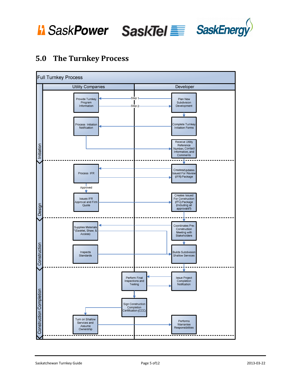

## **5.0 The Turnkey Process**

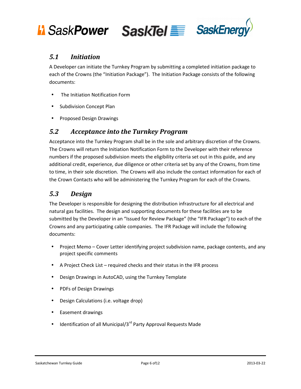



#### *5.1 Initiation*

A Developer can initiate the Turnkey Program by submitting a completed initiation package to each of the Crowns (the "Initiation Package"). The Initiation Package consists of the following documents:

- The Initiation Notification Form
- Subdivision Concept Plan
- Proposed Design Drawings

#### *5.2 Acceptance into the Turnkey Program*

Acceptance into the Turnkey Program shall be in the sole and arbitrary discretion of the Crowns. The Crowns will return the Initiation Notification Form to the Developer with their reference numbers if the proposed subdivision meets the eligibility criteria set out in this guide, and any additional credit, experience, due diligence or other criteria set by any of the Crowns, from time to time, in their sole discretion. The Crowns will also include the contact information for each of the Crown Contacts who will be administering the Turnkey Program for each of the Crowns.

#### *5.3 Design*

The Developer is responsible for designing the distribution infrastructure for all electrical and natural gas facilities. The design and supporting documents for these facilities are to be submitted by the Developer in an "Issued for Review Package" (the "IFR Package") to each of the Crowns and any participating cable companies. The IFR Package will include the following documents:

- Project Memo Cover Letter identifying project subdivision name, package contents, and any project specific comments
- A Project Check List required checks and their status in the IFR process
- Design Drawings in AutoCAD, using the Turnkey Template
- PDFs of Design Drawings
- Design Calculations (i.e. voltage drop)
- Easement drawings
- Identification of all Municipal/ $3^{rd}$  Party Approval Requests Made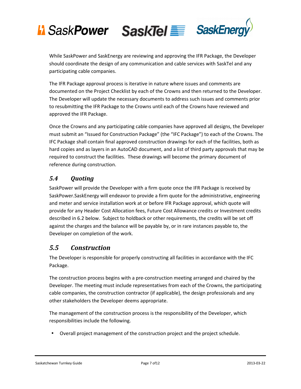

While SaskPower and SaskEnergy are reviewing and approving the IFR Package, the Developer should coordinate the design of any communication and cable services with SaskTel and any participating cable companies.

The IFR Package approval process is iterative in nature where issues and comments are documented on the Project Checklist by each of the Crowns and then returned to the Developer. The Developer will update the necessary documents to address such issues and comments prior to resubmitting the IFR Package to the Crowns until each of the Crowns have reviewed and approved the IFR Package.

Once the Crowns and any participating cable companies have approved all designs, the Developer must submit an "Issued for Construction Package" (the "IFC Package") to each of the Crowns. The IFC Package shall contain final approved construction drawings for each of the facilities, both as hard copies and as layers in an AutoCAD document, and a list of third party approvals that may be required to construct the facilities. These drawings will become the primary document of reference during construction.

#### *5.4 Quoting*

SaskPower will provide the Developer with a firm quote once the IFR Package is received by SaskPower.SaskEnergy will endeavor to provide a firm quote for the administrative, engineering and meter and service installation work at or before IFR Package approval, which quote will provide for any Header Cost Allocation fees, Future Cost Allowance credits or Investment credits described in 6.2 below. Subject to holdback or other requirements, the credits will be set off against the charges and the balance will be payable by, or in rare instances payable to, the Developer on completion of the work.

#### *5.5 Construction*

The Developer is responsible for properly constructing all facilities in accordance with the IFC Package.

The construction process begins with a pre-construction meeting arranged and chaired by the Developer. The meeting must include representatives from each of the Crowns, the participating cable companies, the construction contractor (if applicable), the design professionals and any other stakeholders the Developer deems appropriate.

The management of the construction process is the responsibility of the Developer, which responsibilities include the following.

• Overall project management of the construction project and the project schedule.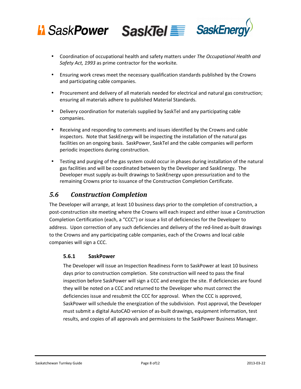

- Coordination of occupational health and safety matters under *The Occupational Health and Safety Act, 1993* as prime contractor for the worksite*.*
- Ensuring work crews meet the necessary qualification standards published by the Crowns and participating cable companies.
- Procurement and delivery of all materials needed for electrical and natural gas construction; ensuring all materials adhere to published Material Standards.
- Delivery coordination for materials supplied by SaskTel and any participating cable companies.
- Receiving and responding to comments and issues identified by the Crowns and cable inspectors. Note that SaskEnergy will be inspecting the installation of the natural gas facilities on an ongoing basis. SaskPower, SaskTel and the cable companies will perform periodic inspections during construction.
- Testing and purging of the gas system could occur in phases during installation of the natural gas facilities and will be coordinated between by the Developer and SaskEnergy. The Developer must supply as-built drawings to SaskEnergy upon pressurization and to the remaining Crowns prior to issuance of the Construction Completion Certificate.

#### *5.6 Construction Completion*

The Developer will arrange, at least 10 business days prior to the completion of construction, a post-construction site meeting where the Crowns will each inspect and either issue a Construction Completion Certification (each, a "CCC") or issue a list of deficiencies for the Developer to address. Upon correction of any such deficiencies and delivery of the red-lined as-built drawings to the Crowns and any participating cable companies, each of the Crowns and local cable companies will sign a CCC.

#### **5.6.1 SaskPower**

The Developer will issue an Inspection Readiness Form to SaskPower at least 10 business days prior to construction completion. Site construction will need to pass the final inspection before SaskPower will sign a CCC and energize the site. If deficiencies are found they will be noted on a CCC and returned to the Developer who must correct the deficiencies issue and resubmit the CCC for approval. When the CCC is approved, SaskPower will schedule the energization of the subdivision. Post approval, the Developer must submit a digital AutoCAD version of as-built drawings, equipment information, test results, and copies of all approvals and permissions to the SaskPower Business Manager.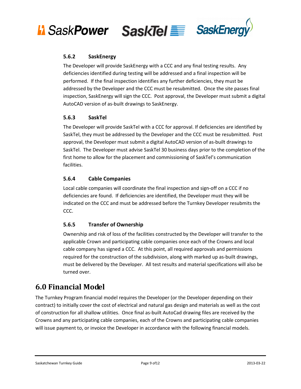



#### **5.6.2 SaskEnergy**

The Developer will provide SaskEnergy with a CCC and any final testing results. Any deficiencies identified during testing will be addressed and a final inspection will be performed. If the final inspection identifies any further deficiencies, they must be addressed by the Developer and the CCC must be resubmitted. Once the site passes final inspection, SaskEnergy will sign the CCC. Post approval, the Developer must submit a digital AutoCAD version of as-built drawings to SaskEnergy.

#### **5.6.3 SaskTel**

The Developer will provide SaskTel with a CCC for approval. If deficiencies are identified by SaskTel, they must be addressed by the Developer and the CCC must be resubmitted. Post approval, the Developer must submit a digital AutoCAD version of as-built drawings to SaskTel. The Developer must advise SaskTel 30 business days prior to the completion of the first home to allow for the placement and commissioning of SaskTel's communication facilities.

#### **5.6.4 Cable Companies**

Local cable companies will coordinate the final inspection and sign-off on a CCC if no deficiencies are found. If deficiencies are identified, the Developer must they will be indicated on the CCC and must be addressed before the Turnkey Developer resubmits the CCC.

#### **5.6.5 Transfer of Ownership**

Ownership and risk of loss of the facilities constructed by the Developer will transfer to the applicable Crown and participating cable companies once each of the Crowns and local cable company has signed a CCC. At this point, all required approvals and permissions required for the construction of the subdivision, along with marked up as-built drawings, must be delivered by the Developer. All test results and material specifications will also be turned over.

## **6.0 Financial Model**

The Turnkey Program financial model requires the Developer (or the Developer depending on their contract) to initially cover the cost of electrical and natural gas design and materials as well as the cost of construction for all shallow utilities. Once final as-built AutoCad drawing files are received by the Crowns and any participating cable companies, each of the Crowns and participating cable companies will issue payment to, or invoice the Developer in accordance with the following financial models.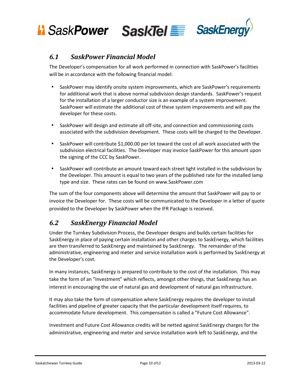

#### *6.1 SaskPower Financial Model*

The Developer's compensation for all work performed in connection with SaskPower's facilities will be in accordance with the following financial model:

- SaskPower may identify onsite system improvements, which are SaskPower's requirements for additional work that is above normal subdivision design standards. SaskPower's request for the installation of a larger conductor size is an example of a system improvement. SaskPower will estimate the additional cost of these system improvements and will pay the developer for these costs.
- SaskPower will design and estimate all off-site, and connection and commissioning costs associated with the subdivision development. These costs will be charged to the Developer.
- SaskPower will contribute \$1,000.00 per lot toward the cost of all work associated with the subdivision electrical facilities. The Developer may invoice SaskPower for this amount upon the signing of the CCC by SaskPower.
- SaskPower will contribute an amount toward each street light installed in the subdivision by the Developer. This amount is equal to two years of the published rate for the installed lamp type and size. These rates can be found on www.SaskPower.com

The sum of the four components above will determine the amount that SaskPower will pay to or invoice the Developer for. These costs will be communicated to the Developer in a letter of quote provided to the Developer by SaskPower when the IFR Package is received.

#### *6.2 SaskEnergy Financial Model*

Under the Turnkey Subdivision Process, the Developer designs and builds certain facilities for SaskEnergy in place of paying certain installation and other charges to SaskEnergy, which facilities are then transferred to SaskEnergy and maintained by SaskEnergy. The remainder of the administrative, engineering and meter and service installation work is performed by SaskEnergy at the Developer's cost.

In many instances, SaskEnergy is prepared to contribute to the cost of the installation. This may take the form of an "Investment" which reflects, amongst other things, that SaskEnergy has an interest in encouraging the use of natural gas and development of natural gas infrastructure.

It may also take the form of compensation where SaskEnergy requires the developer to install facilities and pipeline of greater capacity that the particular development itself requires, to accommodate future development. This compensation is called a "Future Cost Allowance".

Investment and Future Cost Allowance credits will be netted against SaskEnergy charges for the administrative, engineering and meter and service installation work left to SaskEnergy, and the

Saskatchewan Turnkey Guide **Page 10 of 12** 2013-03-22 2013-03-22 2013-03-22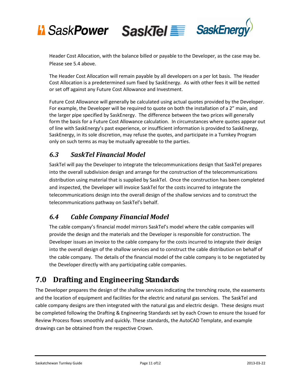

Header Cost Allocation, with the balance billed or payable to the Developer, as the case may be. Please see 5.4 above.

The Header Cost Allocation will remain payable by all developers on a per lot basis. The Header Cost Allocation is a predetermined sum fixed by SaskEnergy. As with other fees it will be netted or set off against any Future Cost Allowance and Investment.

Future Cost Allowance will generally be calculated using actual quotes provided by the Developer. For example, the Developer will be required to quote on both the installation of a 2" main, and the larger pipe specified by SaskEnergy. The difference between the two prices will generally form the basis for a Future Cost Allowance calculation. In circumstances where quotes appear out of line with SaskEnergy's past experience, or insufficient information is provided to SaskEnergy, SaskEnergy, in its sole discretion, may refuse the quotes, and participate in a Turnkey Program only on such terms as may be mutually agreeable to the parties.

## *6.3 SaskTel Financial Model*

SaskTel will pay the Developer to integrate the telecommunications design that SaskTel prepares into the overall subdivision design and arrange for the construction of the telecommunications distribution using material that is supplied by SaskTel. Once the construction has been completed and inspected, the Developer will invoice SaskTel for the costs incurred to integrate the telecommunications design into the overall design of the shallow services and to construct the telecommunications pathway on SaskTel's behalf.

## *6.4 Cable Company Financial Model*

The cable company's financial model mirrors SaskTel's model where the cable companies will provide the design and the materials and the Developer is responsible for construction. The Developer issues an invoice to the cable company for the costs incurred to integrate their design into the overall design of the shallow services and to construct the cable distribution on behalf of the cable company. The details of the financial model of the cable company is to be negotiated by the Developer directly with any participating cable companies.

## **7.0 Drafting and Engineering Standards**

The Developer prepares the design of the shallow services indicating the trenching route, the easements and the location of equipment and facilities for the electric and natural gas services. The SaskTel and cable company designs are then integrated with the natural gas and electric design. These designs must be completed following the Drafting & Engineering Standards set by each Crown to ensure the Issued for Review Process flows smoothly and quickly. These standards, the AutoCAD Template, and example drawings can be obtained from the respective Crown.